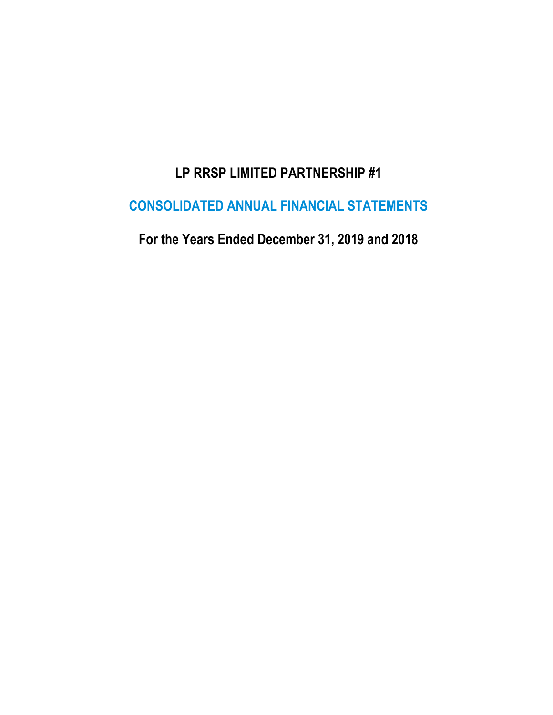# **LP RRSP LIMITED PARTNERSHIP #1**

# **CONSOLIDATED ANNUAL FINANCIAL STATEMENTS**

**For the Years Ended December 31, 2019 and 2018**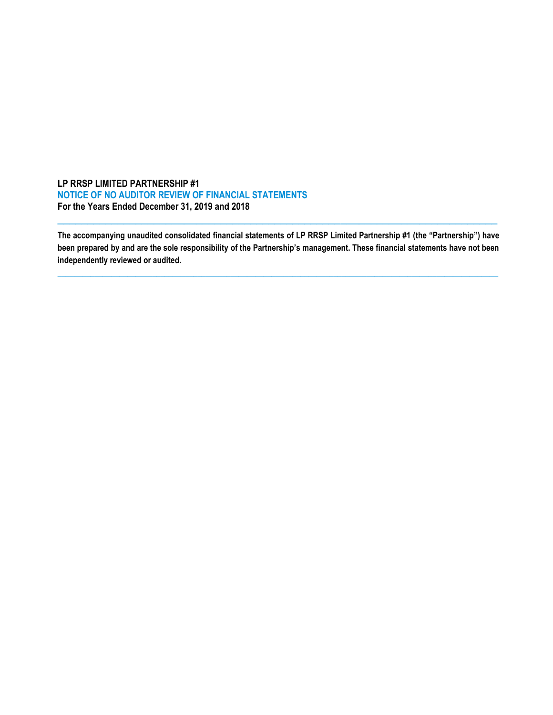### **LP RRSP LIMITED PARTNERSHIP #1 NOTICE OF NO AUDITOR REVIEW OF FINANCIAL STATEMENTS For the Years Ended December 31, 2019 and 2018**

**The accompanying unaudited consolidated financial statements of LP RRSP Limited Partnership #1 (the "Partnership") have been prepared by and are the sole responsibility of the Partnership's management. These financial statements have not been independently reviewed or audited.**

**\_\_\_\_\_\_\_\_\_\_\_\_\_\_\_\_\_\_\_\_\_\_\_\_\_\_\_\_\_\_\_\_\_\_\_\_\_\_\_\_\_\_\_\_\_\_\_\_\_\_\_\_\_\_\_\_\_\_\_\_\_\_\_\_\_\_\_\_\_\_\_\_\_\_\_\_\_\_\_\_\_\_\_\_\_\_\_\_\_\_\_\_\_\_\_\_\_\_\_\_\_\_\_\_\_\_\_**

 $\overline{a_1}$  ,  $\overline{a_2}$  ,  $\overline{a_3}$  ,  $\overline{a_4}$  ,  $\overline{a_5}$  ,  $\overline{a_6}$  ,  $\overline{a_7}$  ,  $\overline{a_8}$  ,  $\overline{a_9}$  ,  $\overline{a_9}$  ,  $\overline{a_9}$  ,  $\overline{a_9}$  ,  $\overline{a_9}$  ,  $\overline{a_9}$  ,  $\overline{a_9}$  ,  $\overline{a_9}$  ,  $\overline{a_9}$  ,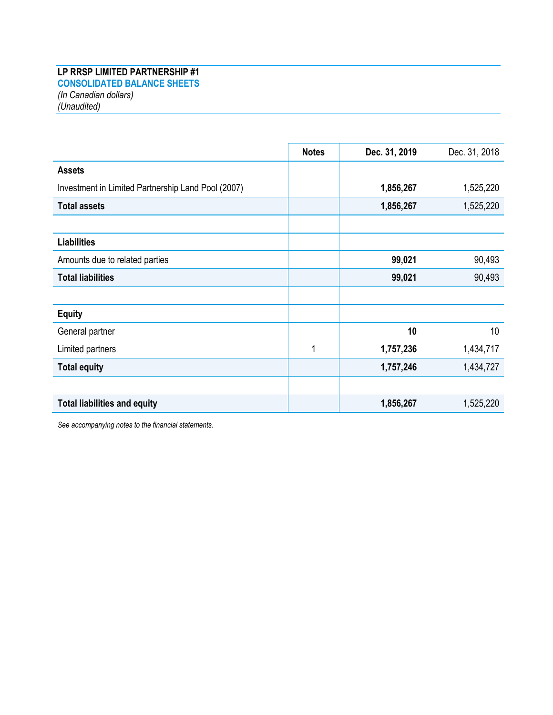## **LP RRSP LIMITED PARTNERSHIP #1 CONSOLIDATED BALANCE SHEETS**

*(In Canadian dollars) (Unaudited)*

|                                                    | <b>Notes</b> | Dec. 31, 2019 | Dec. 31, 2018 |
|----------------------------------------------------|--------------|---------------|---------------|
| <b>Assets</b>                                      |              |               |               |
| Investment in Limited Partnership Land Pool (2007) |              | 1,856,267     | 1,525,220     |
| <b>Total assets</b>                                |              | 1,856,267     | 1,525,220     |
|                                                    |              |               |               |
| <b>Liabilities</b>                                 |              |               |               |
| Amounts due to related parties                     |              | 99,021        | 90,493        |
| <b>Total liabilities</b>                           |              | 99,021        | 90,493        |
|                                                    |              |               |               |
| <b>Equity</b>                                      |              |               |               |
| General partner                                    |              | 10            | 10            |
| Limited partners                                   | 1            | 1,757,236     | 1,434,717     |
| <b>Total equity</b>                                |              | 1,757,246     | 1,434,727     |
|                                                    |              |               |               |
| <b>Total liabilities and equity</b>                |              | 1,856,267     | 1,525,220     |

*See accompanying notes to the financial statements.*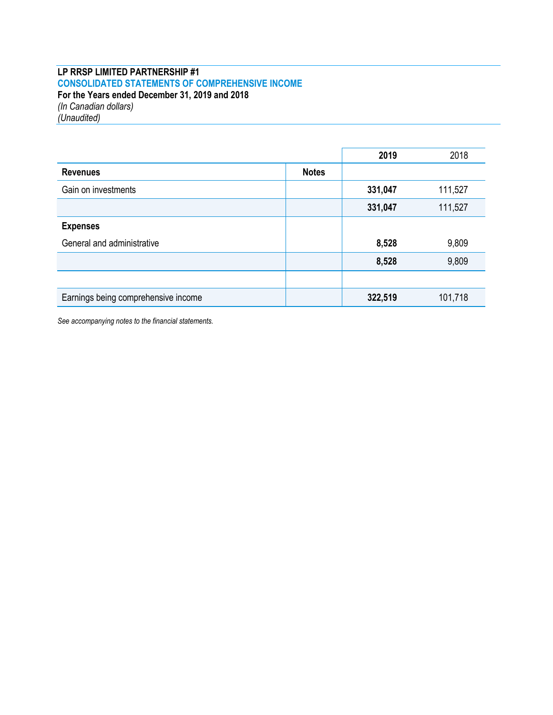## **LP RRSP LIMITED PARTNERSHIP #1 CONSOLIDATED STATEMENTS OF COMPREHENSIVE INCOME For the Years ended December 31, 2019 and 2018** *(In Canadian dollars)*

*(Unaudited)*

|                                     |              | 2019    | 2018    |
|-------------------------------------|--------------|---------|---------|
| <b>Revenues</b>                     | <b>Notes</b> |         |         |
| Gain on investments                 |              | 331,047 | 111,527 |
|                                     |              | 331,047 | 111,527 |
| <b>Expenses</b>                     |              |         |         |
| General and administrative          |              | 8,528   | 9,809   |
|                                     |              | 8,528   | 9,809   |
|                                     |              |         |         |
| Earnings being comprehensive income |              | 322,519 | 101,718 |

*See accompanying notes to the financial statements.*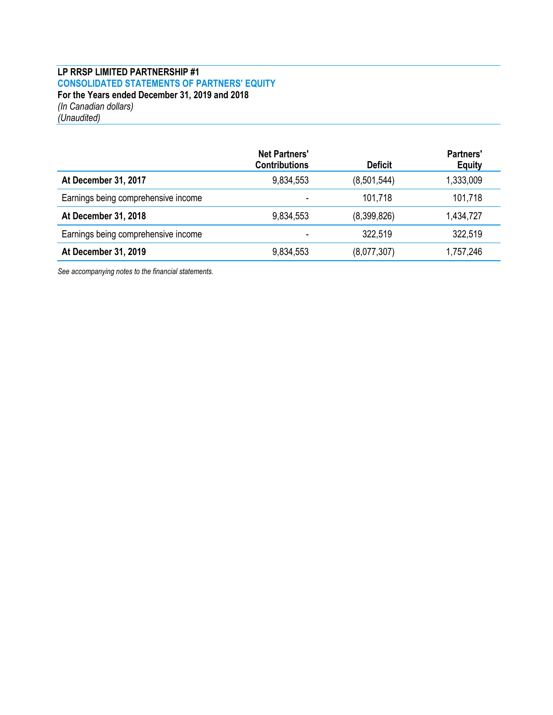## **LP RRSP LIMITED PARTNERSHIP #1 CONSOLIDATED STATEMENTS OF PARTNERS' EQUITY For the Years ended December 31, 2019 and 2018** *(In Canadian dollars) (Unaudited)*

|                                     | <b>Net Partners'</b><br><b>Contributions</b> | <b>Deficit</b> | <b>Partners'</b><br><b>Equity</b> |
|-------------------------------------|----------------------------------------------|----------------|-----------------------------------|
| At December 31, 2017                | 9,834,553                                    | (8,501,544)    | 1,333,009                         |
| Earnings being comprehensive income |                                              | 101,718        | 101,718                           |
| At December 31, 2018                | 9,834,553                                    | (8,399,826)    | 1,434,727                         |
| Earnings being comprehensive income |                                              | 322,519        | 322,519                           |
| At December 31, 2019                | 9,834,553                                    | (8,077,307)    | 1,757,246                         |

*See accompanying notes to the financial statements.*